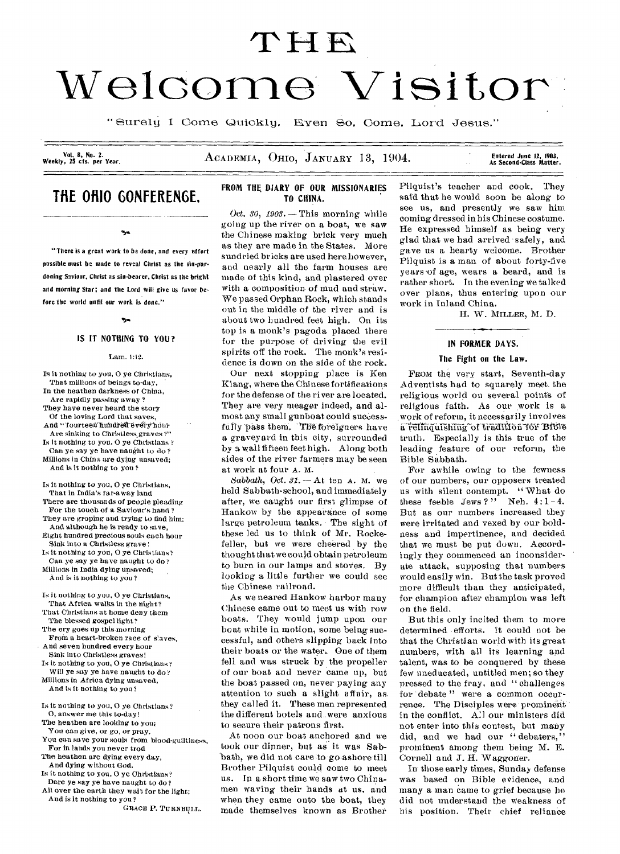# THE

# Welcome Visitor

" Surely I Come Quickly. Even So, Come, Lord Jesus."

Vol. 8, No. 2.<br>Weekly, 25 cts. per Year.

ACADEMIA, OHIO, JANUARY 13, 1904.

### Entered June 12, 1903,<br>As Second-Class Matter.

## THE OHIO GONFERENGE. The china.

 $\alpha_{\rm eff}$ 

"There is a great work to be done, and every effort possible must be made to reveal Christ as the sin-par-

doning Saviour, Christ as sin-bearer, Christ as the bright and morning Star; and the Lord will give us favor before the world until our work is done."

## ۰.,

#### IS IT NOTHING TO YOU?

#### Lam. 1:b2.

Is it nothing *to* you, 0 ye Christians, That millions of beings to-day, In the heathen darkness of China, Are rapidly passing away ? They have never heard the story Of the loving Lord that saves, And " fourteen hundred every hour Are sinking to Christless graves ?" Is it nothing to you. 0 ye Christians ? Can ye say ye have naught to do ? Millions in China are dying unsaved; And is It nothing to you ? Is it nothing to you, 0 ye Christians,

That in India's far-away land There are thousands of people pleading For the touch of a Saviour's hand ? They are groping and trying to find him: And although he is ready to save, Eight hundred precious souls each hour Sink into a Christless grave : Is it nothing to you, 0 ye Christians? Can ye say ye have naught to do?

Millions in India dying unsaved; And is it nothing to you ?

Is it nothing to you, 0 ye Christians, That Africa walks in the night? That Christians at home deny them The blessed gospel light? The cry goes up this-morning

From a heart-broken race of slaves, And seven hundred every hour

Sink into Christless graves! Is it nothing to you, 0 ye Christians?

Will ye say ye have naught to do? Millions in Africa dying unsaved, And is it nothing to you ?

Is it nothing to you, 0 ye Christians? 0, answer me this to-day!

The heathen are looking to you;

You can give, or go, or pray.

- You can save your souls from blood-guiltiness, For in lands you never trod
- The heathen are dying every day, And dying without God.
- Is it nothing to you, 0 ye Christians?
- Dare ye say ye have naught to do ? All over the earth they wait for the light;
- And is it nothing to you ?

GRACE P. TURNBULL.

## FROM THE DIARY OF OUR MISSIONARIES

Oct. 30,  $1903$ . - This morning while going up the river on a boat, we saw the Chinese making brick very much as they are made in the States. More sundried bricks are used here however, and nearly all the farm houses are made of this kind, and plastered over with a composition of mud and straw. We passed Orphan Rock, which stands out in the middle of the river and is about two hundred feet high. On its top is a monk's pagoda placed there for the purpose of driving the evil spirits off the rock. The monk's residence is down on the side of the rock.

Our next stopping place is Ken Kiang, where the Chinese fortifications for the defense of the river are located. They are very meager indeed, and almost any small gunboat could successfully pass them. The foreigners have a graveyard in this city, surrounded by a wall fifteen feet high. Along both sides of the river farmers may be seen at work at four A. M.

Sabbath, Oct.  $31. -$  At ten A. M. we held Sabbath-school, and immediately after, we caught our first glimpse of Hankow by the appearance of some large petroleum tanks. The sight of these led us to think of Mr. Rockefeller, but we were cheered by the thought that we could obtain petroleum to burn in our lamps and stoves. By looking a little further we could see the Chinese railroad.

As we neared Hankow harbor many Chinese came out to meet us with row boats. They would jump upon our boat while in motion, some being successful, and others slipping back into their boats or the water.. One of them fell and was struck by the propeller of our boat and never came up, but the boat passed on, never paying any attention to such a slight affair, as. they called it. These men represented the different hotels and.. were anxious to secure their patrons first.

At noon our boat anchored and we took our dinner, but as it was Sabbath, we did not care to go-ashore- till Brother Pilquist could come to meet us. In a short time we saw two Chinamen waving their hands at us, and when they came onto the boat, they made themselves known as Brother Pilquist's teacher and cook. They said that he would soon be along to see us, and presently we saw him coming dressed in his Chinese costume. He expressed himself as being very glad that we had arrived - safely, and gave us a hearty welcome. Brother Pilquist is a man of about forty-five years of age, wears a beard, and is rather short. In the evening we talked over plans, thus entering upon our work in Inland China.

H. W. MILLER, M. D.

#### IN FORMER DAYS.

#### The Fight on the Law.

FROM the very start, Seventh-day Adventists had to squarely meet. the religions world on several points of religious faith. As our work is a work of reform, it necessarily involves a relinquishing of tradition for Bible truth, Especially is this true of the leading feature of our reform, the Bible Sabbath.

For awhile owing to the fewness of our numbers, our opposers treated us with silent contempt. " What do these feeble Jews?" Neh.  $4:1-4$ . But as our numbers increased they were irritated and vexed by our boldness and impertinence, and decided that we must be put down. Accordingly they commenced an inconsiderate attack, supposing that numbers would easily win. But the task proved more difficult than they anticipated, for champion after champion was left on the field.

But this only incited them to more determined efforts. It could not be that the Christian world with its great numbers, with all its learning and talent, was to be conquered by these few uneducated, untitled men; so they pressed to the fray, and " challenges for debate" were a common occurrence. The Disciples were prominent in the conflict. All our ministers did not enter into this contest, but many did, and we had our "debaters." prominent among them being M. E. Cornell and J. H. Waggoner.

In those early times, Sunday defense was based on Bible evidence, and many a man came to grief because he did not understand the weakness of his position. Their chief reliance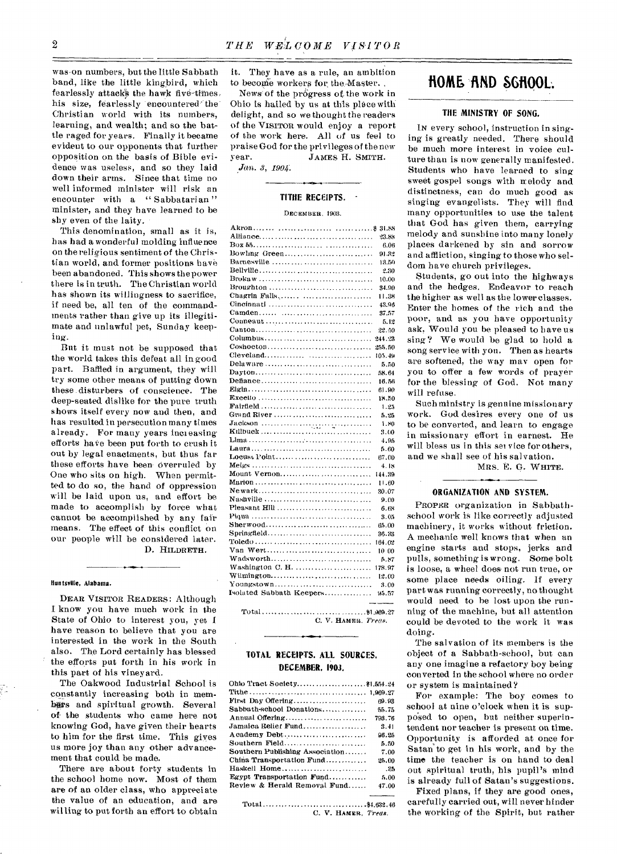was-on numbers, but the little Sabbath band, like the little kingbird, which fearlessly attacks the hawk five-times. his size, fearlessly 'encountered' the Christian world with its numbers, learning, and wealth; and so the battle raged for years. Finally it became evident to our opponents that further opposition on the basis of Bible evidence was useless, and so they laid down their arms. Since that time no well informed minister will risk an encounter with a "Sabbatarian" minister, and they have learned to be shy even of the laity.

This denomination, small as it is, has had a wonderful molding influence on the religious sentiment of the Christian world, and former positions have been abandoned. This shows the power there is in truth. The Christian world has shown its willingness to sacrifice, if need be, all ten of the commandments rather than *give* up its illegitimate and unlawful pet, Sunday keeping.

But it must not be supposed that the world takes this defeat all in good part. Baffled in argument, they will try some other means of putting down these disturbers of conscience. The deep-seated dislike for the pure truth shows itself every now and then, and has resulted in persecution many times already. For many years inci easing efforts have been put forth to crush it out by legal enactments, but thus far these efforts have been overruled by One who sits on high. When permitted to do so, the hand of oppression will be laid upon us, and effort be made to accomplish by force what cannot be accomplished by any fair means. The effect of this conflict on our people will be considered later. D. HILDRETH.

#### Huntsville, Alabama.

DEAR VISITOR READERS: Although I know you have much work in the State of Ohio to interest you, yet I have reason to believe that you are interested in the work in the South also. The Lord certainly has blessed the efforts put forth in his work in this part of his vineyard.

The Oakwood Industrial School is constantly increasing both in membars and spiritual growth. Several of- the students who came here not knowing God, have given their hearts to him for the first time. This giyes us more joy than any other advancement that could be made.

There are about forty students in the school home now. Most of them are of an older class, who appreciate the value of an education, and are willing to put forth an effort to obtain it. They have as a rule, an ambition to become workers for the Master.

News of the progress of the work in Ohio is hailed by us at this place with delight, and so we thought the readers of the VISITOR would enjoy a report of the work here. All of us feel to praise God for the privileges of the new year. JAMES H. SMITH.

*Jan. 3, 1904.* 

#### **TITHE RECEIPTS.**

#### DECEMBER, 1903.

| Alliance                                                                                | 23.88  |
|-----------------------------------------------------------------------------------------|--------|
|                                                                                         | 6.06   |
|                                                                                         | 91.82  |
| Burnesville                                                                             | 13.50  |
|                                                                                         | 2.30   |
|                                                                                         | 10.00  |
| Broughton                                                                               | 34.90  |
| Chagrin Falls                                                                           | 11.38  |
| Cincinnati                                                                              | 43.96  |
|                                                                                         | 37.57  |
| Conneaut                                                                                | 5.12   |
|                                                                                         | 22.50  |
| Columbus                                                                                | 244.23 |
| Coshoeton                                                                               | 255.50 |
| Cleveland                                                                               | 105.49 |
| Delaware                                                                                | 5.50   |
|                                                                                         | 58.64  |
|                                                                                         | 16.56  |
|                                                                                         | 61.90  |
|                                                                                         | 18.50  |
|                                                                                         | 1.25   |
| Grand River                                                                             | 5.25   |
|                                                                                         | 1.80   |
|                                                                                         | 3.00   |
|                                                                                         | 4.95   |
|                                                                                         | 5.60   |
| Locust Point                                                                            | 67.00  |
|                                                                                         | 4.18   |
| Mount Vernon                                                                            | 144.39 |
|                                                                                         | 11.60  |
|                                                                                         | 30.07  |
| Nashville                                                                               | 9.00   |
|                                                                                         | 6.68   |
|                                                                                         | 3.05   |
|                                                                                         | 65.00  |
| Springfield                                                                             | 36.33  |
| $\text{Toledo} \dots \dots \dots \dots \dots \dots \dots \dots \dots \dots \dots \dots$ | 164.02 |
| Van Wert                                                                                | 10 00  |
|                                                                                         | 5.87   |
|                                                                                         | 178.97 |
| Wilmington                                                                              | 12.00  |
| Youngstown                                                                              | 3.00   |
| Isolated Sabbath Keepers                                                                | 95.57  |
|                                                                                         |        |
|                                                                                         |        |

Total ..... ...... ........ 11.069.27 C. V. HAMER. Treas.

#### **TOTAL RECEIPTS. ALL SOURCES, DECEMBER, 1903.**

| First Day Offering              | 69.93  |
|---------------------------------|--------|
| Sabbath-school Donations        | 55.75  |
| Annual Offering                 | 793.76 |
| Jamaica Relier Fund             | 3.41   |
| A cademy Debt                   | 96.25  |
| Southern Field                  | 5.50   |
| Southern Publishing Association | 7.00   |
| China Transportation Fund       | 25.00  |
| Haskell Home                    | . 85   |
| Egypt Transportation Fund       | 5.00   |
| Review & Herald Removal Fund    | 47.00  |
|                                 |        |

 $Total \ldots \ldots \ldots \ldots \ldots \ldots \ldots \ldots \ldots \ldots$ . \$4,632.46 C. V. HAMER, Treas.

## **HOME fiND SGtIOOL.**

#### **THE MINISTRY OF SONG.**

IN every school, instruction in singing is greatly needed. There should be much more interest in voice culture than is now generally manifested. Students who have learned to sing sweet gospel songs with melody and distinctness, can do much good as singing evangelists. They will find many opportunities to use the talent that God has given them, carrying melody and sunshine into many lonely places darkened by sin and sorrow and affliction, singing to those who seldom have church privileges.

Students, go out into the highways and the hedges. Endeavor to reach the higher as well as the lower classes. Enter the homes of the rich and the poor, and as you have opportunity ask, Would you be pleased to have us sing? We would be glad to hold a song service with you. Then as hearts are softened, the way may open for you to offer a few words of prayer for the blessing of God. Not many will refuse.

Such ministry is genuine missionary work. God desires every one of us to be converted, and learn to engage in missionary effort in earnest. He will bless us in this set vice for others, and we shall see of his salvation.

MRS. E. G. WHITE.

#### **ORGANIZATION AND SYSTEM.**

PROPER organization in Sabbathschool work is like correctly adjusted machinery, it works without friction. A mechanic well knows that when an engine starts and stops, jerks and pulls, something is wrong. Some bolt is loose, a wheel does not run true, or some place needs oiling. If every part was running correctly, no thought would need to he lost upon the running of the machine, but all attention could be devoted to the work it was doing.

The salvation of its members is the object of a Sabbath-school, but can any one imagine a refactory boy being converted in the school where no order or system is maintained?

For example: The boy comes to school at nine o'clock when it is supposed to open, but neither superintendent nor teacher is present on time. Opportunity is afforded at once for Satan to get in his work, and by the time the teacher is on hand to deal out spiritual truth, his pupil's mind is already full of Satan's suggestions.

Fixed plans, if they are good ones, carefully carried out, will never hinder the working of the Spirit, but rather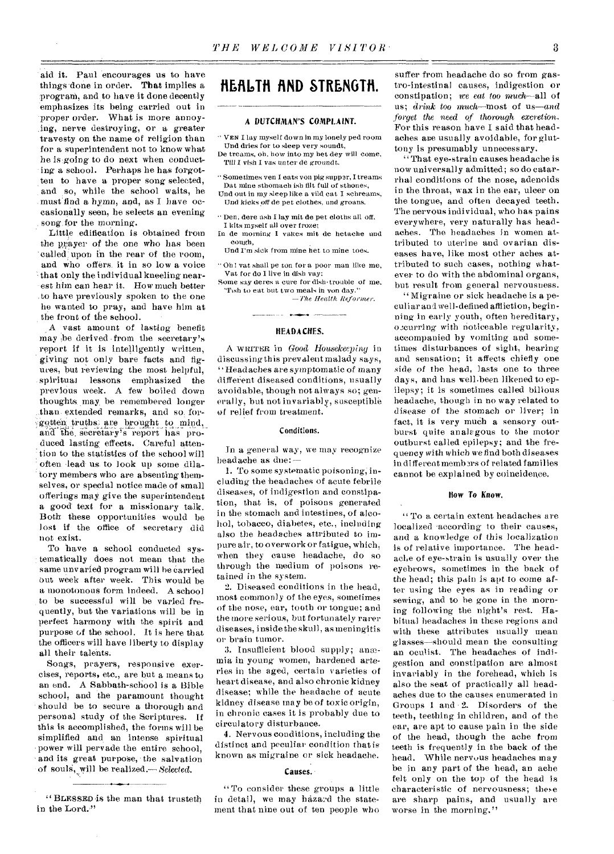aid it. Paul encourages us to have things done in order. That implies a program, and to have it done decently emphasizes its being carried out in proper order. What is more annoying, nerve destroying, or a greater travesty on the name of religion than for a superintendent not to know what he is going to do next when conducting a school. Perhaps he has forgotten to have a proper song selected, and so, while the school waits, he must' find a hymn, and, as I have occasionally seen, he selects an evening song for the morning.

Little edification is obtained from the prayer of the one who has been called; upon in the rear of the room, and who offers, it in so low a voice that only the individual kneeling nearest him can hear it. How much better to have previously spoken to the one he wanted to pray, and have him at the front of the school.

A vast amount of lasting benefit may ;be derived from the secretary's report if it is intelligently written, giving not only bare facts and figures, but reviewing the most helpful, spiritual lessons emphasized the previous week. A few boiled down thoughts may, be remembered longer than extended remarks, and so. forgotten truths are brought to mind, and' the, secretary's report has produced lasting, effects. Careful attention to the statistics of the school will often .lead us to look up some dilatory members who are absenting themselves, or special notice made of small offerings may give the superintendent a good text for a missionary talk. Both these opportunities would be lost if the office of secretary did not exist.

TO have a school conducted systematically does not mean that the same unvaried program will he carried Out week after week. This would be a monotonous form indeed. A school to be successful will be varied frequently, but the variations will be in perfect harmony with the spirit and purpose of the school. It is here that the officers will have liberty to display all their talents.

Songs, prayers, responsive exercises, reports, etc., are but a means to an end. A Sabbath-school is a Bible school, and the paramount thought should be to secure a thorough and personal study of the Scriptures. If this is accomplished, the forms will be simplified and an intense spiritual power will pervade the entire school, and its great purpose, the salvation of souls, will be realized.— *Selected.* 

## **fiEfIL,TH fiND STRENGTH.**

#### **A DUTCHMAN'S** COMPLAINT.

- " VEN I lay myself down in my lonely ped room Und dries for to sleep very soundt, De treams, oh, how into my het dey will come,
- Till I vish I vas unter de groundt.
- "Sometimes wen I eats von pig suppzr, I treams Dat mine sthomach ish tilt full of sthones, Und out in my sleep like a vild cat I schreams,
- Und kicks *off* de pet clothes, and groans.
- " Den, dere ash I lay mit de pet cloths all off. I kits myself all over froze;
- In de morning I wakes mit de hetache and cough,
- Und I'm sick from mine het to mine toes.
- " Oh ! vat shall pe ton for a poor man like me, Vat for do I live in dish vay;
- Some say deres a cure for dish trouble of me. "fish to eat but two meals in von day." *—The Health Reformer.*

and and the second second

#### HEADACHES.

A WRITER in *Good Housekeeping* in discussing this prevalent malady says, Headaches are symptomatic of many different diseased conditions, usually avoidable, though not always so; generally, but not invariably, susceptible of relief from treatment.

#### Conditions.

In a general way, we may recognize headache as due:-

1. To some systematic poisoning; including the headaches of acute febrile diseases, of indigestion and constipation, that is, of poisons generated in the stomach and intestines, of alcohol, tobacco, diabetes, etc., including also the headaches attributed to impure air, to overwork or fatigue, which, when they cause headache, do so through the medium of poisons retained in the system.

2. Diseased conditions in the head, most commonly of the eyes, sometimes of the nose, ear, tooth or tongue; and the more serious, but fortunately rarer diseases, inside the skull, as meningitis or brain tumor.

3. Insufficient blood supply; anemia in *young* women, hardened arteries in the aged, certain varieties of heart disease, and also chronic kidney disease; while the headache of acute kidney disease may be of toxic origin, in chronic cases it is probably due to circulatory disturbance.

4. Nervous conditions, including the distinct and peculiar condition that is known as migraine or sick headache.

#### **Causes.**

"To consider these groups a little in detail, we may hazard the statement that nine out of ten people who

suffer from headache do so from gastro-intestinal causes, indigestion or constipation; we *eat too* much—all of us; *drink too much—most* of us—and *forget the need of thorough excretion.*  For this reason have I said that headaches axe usually avoidable, for gluttony is presumably unnecessary.

"That eye-strain causes headache is now universally admitted; so do catarrhal conditions of the nose, adenoids in the throat, wax in the ear, ulcer on the tongue, and often decayed teeth. The nervous individual, who has pains everywhere, very naturally has headaches. The headaches in women attributed to uterine and ovarian diseases have, like most other aches attributed to such cases, nothing whatever to do with the abdominal organs, but result from general nervousness.

"Migraine or sick headache is a peculiar and well-defined affliction, beginning in early youth, often hereditary, o,curring with noticeable regularity, accompanied by vomiting and sometimes disturbances of sight, hearing and sensation; it affects chiefly one side of the head, lasts one to three days, and has well.been likened to epilepsy; it is sometimes called bilious headache, though in no way related to disease of the stomach or liver; in fact, it is very much a sensory outburst quite analagous to the motor outburst called epilepsy; and the frequency with which we find both diseases in different memb3rs of related families cannot be explained by coincidence.

#### How To Know.

" To a certain extent headaches are localized -according to their causes, and a knowledge of this localization is of relative importance. The headache of eye-strain is usually over the eyebrows, sometimes in the back of the head; this pain is apt to come after using the eyes as in reading or sewing, and to be gone in the morning following the night's rest. Habitual headaches in these regions and with these attributes usually mean glasses—should mean the consulting an oculist. The headaches of indigestion and constipation are almost invariably in the forehead, which is also the seat of practically all headaches due to the causes enumerated in Groups 1 and 2. Disorders of the teeth, teething in children, and of the ear, are apt to cause pain in the side of the head, though the ache from teeth is frequently in the back of the head. While nervous headaches may be in any part of the head, an ache felt only on the top of the head is characteristic of nervousness; these are sharp pains, and usually are worse in the morning."

<sup>&</sup>quot;BLESSED is the man that trusteth in the Lord."